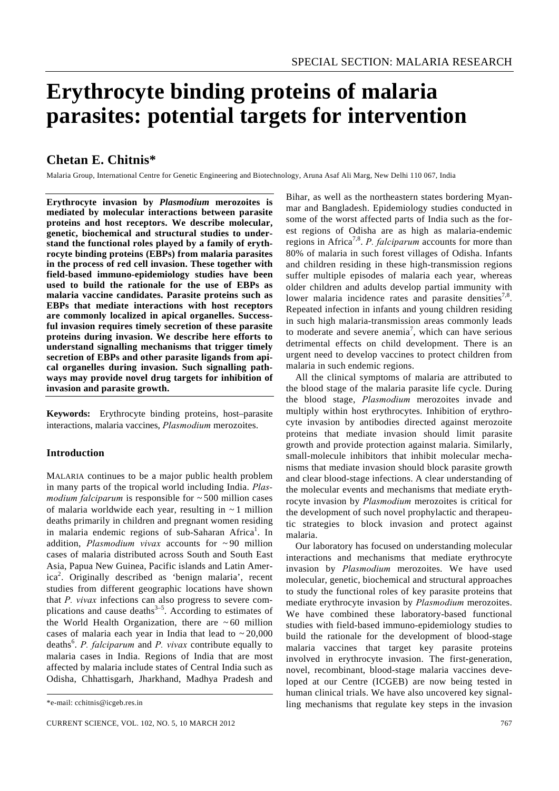# **Erythrocyte binding proteins of malaria parasites: potential targets for intervention**

# **Chetan E. Chitnis\***

Malaria Group, International Centre for Genetic Engineering and Biotechnology, Aruna Asaf Ali Marg, New Delhi 110 067, India

**Erythrocyte invasion by** *Plasmodium* **merozoites is mediated by molecular interactions between parasite proteins and host receptors. We describe molecular, genetic, biochemical and structural studies to understand the functional roles played by a family of erythrocyte binding proteins (EBPs) from malaria parasites in the process of red cell invasion. These together with field-based immuno-epidemiology studies have been used to build the rationale for the use of EBPs as malaria vaccine candidates. Parasite proteins such as EBPs that mediate interactions with host receptors are commonly localized in apical organelles. Successful invasion requires timely secretion of these parasite proteins during invasion. We describe here efforts to understand signalling mechanisms that trigger timely secretion of EBPs and other parasite ligands from apical organelles during invasion. Such signalling pathways may provide novel drug targets for inhibition of invasion and parasite growth.** 

**Keywords:** Erythrocyte binding proteins, host–parasite interactions, malaria vaccines, *Plasmodium* merozoites.

# **Introduction**

MALARIA continues to be a major public health problem in many parts of the tropical world including India. *Plasmodium falciparum* is responsible for ~ 500 million cases of malaria worldwide each year, resulting in  $\sim$  1 million deaths primarily in children and pregnant women residing in malaria endemic regions of sub-Saharan Africa<sup>1</sup>. In addition, *Plasmodium vivax* accounts for ~ 90 million cases of malaria distributed across South and South East Asia, Papua New Guinea, Pacific islands and Latin America<sup>2</sup>. Originally described as 'benign malaria', recent studies from different geographic locations have shown that *P. vivax* infections can also progress to severe complications and cause deaths $3-5$ . According to estimates of the World Health Organization, there are  $\sim 60$  million cases of malaria each year in India that lead to  $\sim 20,000$ deaths<sup>6</sup>. *P. falciparum* and *P. vivax* contribute equally to malaria cases in India. Regions of India that are most affected by malaria include states of Central India such as Odisha, Chhattisgarh, Jharkhand, Madhya Pradesh and

Bihar, as well as the northeastern states bordering Myanmar and Bangladesh. Epidemiology studies conducted in some of the worst affected parts of India such as the forest regions of Odisha are as high as malaria-endemic regions in Africa7,8. *P. falciparum* accounts for more than 80% of malaria in such forest villages of Odisha. Infants and children residing in these high-transmission regions suffer multiple episodes of malaria each year, whereas older children and adults develop partial immunity with lower malaria incidence rates and parasite densities<sup>7,8</sup>. Repeated infection in infants and young children residing in such high malaria-transmission areas commonly leads to moderate and severe anemia<sup>7</sup>, which can have serious detrimental effects on child development. There is an urgent need to develop vaccines to protect children from malaria in such endemic regions.

 All the clinical symptoms of malaria are attributed to the blood stage of the malaria parasite life cycle. During the blood stage, *Plasmodium* merozoites invade and multiply within host erythrocytes. Inhibition of erythrocyte invasion by antibodies directed against merozoite proteins that mediate invasion should limit parasite growth and provide protection against malaria. Similarly, small-molecule inhibitors that inhibit molecular mechanisms that mediate invasion should block parasite growth and clear blood-stage infections. A clear understanding of the molecular events and mechanisms that mediate erythrocyte invasion by *Plasmodium* merozoites is critical for the development of such novel prophylactic and therapeutic strategies to block invasion and protect against malaria.

 Our laboratory has focused on understanding molecular interactions and mechanisms that mediate erythrocyte invasion by *Plasmodium* merozoites. We have used molecular, genetic, biochemical and structural approaches to study the functional roles of key parasite proteins that mediate erythrocyte invasion by *Plasmodium* merozoites. We have combined these laboratory-based functional studies with field-based immuno-epidemiology studies to build the rationale for the development of blood-stage malaria vaccines that target key parasite proteins involved in erythrocyte invasion. The first-generation, novel, recombinant, blood-stage malaria vaccines developed at our Centre (ICGEB) are now being tested in human clinical trials. We have also uncovered key signalling mechanisms that regulate key steps in the invasion

<sup>\*</sup>e-mail: cchitnis@icgeb.res.in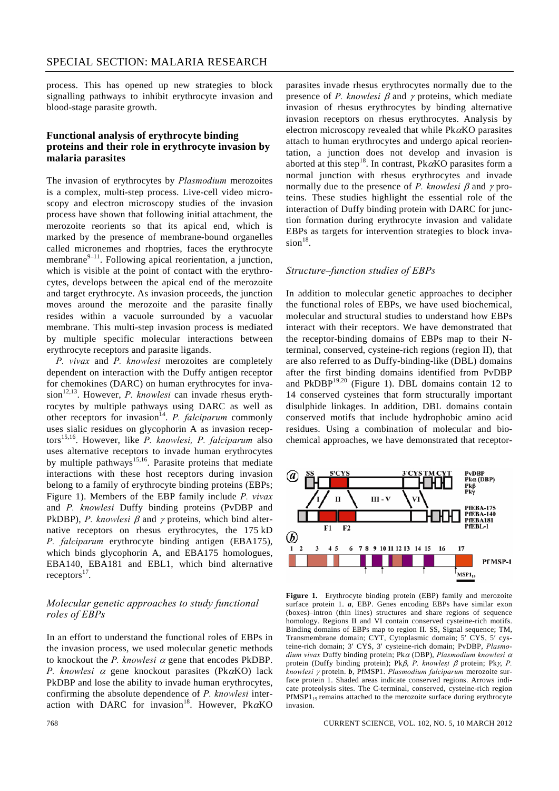process. This has opened up new strategies to block signalling pathways to inhibit erythrocyte invasion and blood-stage parasite growth.

#### **Functional analysis of erythrocyte binding proteins and their role in erythrocyte invasion by malaria parasites**

The invasion of erythrocytes by *Plasmodium* merozoites is a complex, multi-step process. Live-cell video microscopy and electron microscopy studies of the invasion process have shown that following initial attachment, the merozoite reorients so that its apical end, which is marked by the presence of membrane-bound organelles called micronemes and rhoptries, faces the erythrocyte membrane $9-11$ . Following apical reorientation, a junction, which is visible at the point of contact with the erythrocytes, develops between the apical end of the merozoite and target erythrocyte. As invasion proceeds, the junction moves around the merozoite and the parasite finally resides within a vacuole surrounded by a vacuolar membrane. This multi-step invasion process is mediated by multiple specific molecular interactions between erythrocyte receptors and parasite ligands.

*P. vivax* and *P. knowlesi* merozoites are completely dependent on interaction with the Duffy antigen receptor for chemokines (DARC) on human erythrocytes for invasion<sup>12,13</sup>. However, *P. knowlesi* can invade rhesus erythrocytes by multiple pathways using DARC as well as other receptors for invasion14. *P. falciparum* commonly uses sialic residues on glycophorin A as invasion receptors15,16. However, like *P. knowlesi, P. falciparum* also uses alternative receptors to invade human erythrocytes by multiple pathways<sup>15,16</sup>. Parasite proteins that mediate interactions with these host receptors during invasion belong to a family of erythrocyte binding proteins (EBPs; Figure 1). Members of the EBP family include *P. vivax*  and *P. knowlesi* Duffy binding proteins (PvDBP and PkDBP), *P. knowlesi* β and γ proteins, which bind alternative receptors on rhesus erythrocytes, the 175 kD *P. falciparum* erythrocyte binding antigen (EBA175), which binds glycophorin A, and EBA175 homologues, EBA140, EBA181 and EBL1, which bind alternative  $receptors<sup>17</sup>$ .

### *Molecular genetic approaches to study functional roles of EBPs*

In an effort to understand the functional roles of EBPs in the invasion process, we used molecular genetic methods to knockout the *P. knowlesi* α gene that encodes PkDBP. *P. knowlesi* α gene knockout parasites (PkαKO) lack PkDBP and lose the ability to invade human erythrocytes, confirming the absolute dependence of *P. knowlesi* interaction with DARC for invasion<sup>18</sup>. However, Pk $\alpha$ KO parasites invade rhesus erythrocytes normally due to the presence of *P. knowlesi* β and γ proteins, which mediate invasion of rhesus erythrocytes by binding alternative invasion receptors on rhesus erythrocytes. Analysis by electron microscopy revealed that while  $Pk\alpha KO$  parasites attach to human erythrocytes and undergo apical reorientation, a junction does not develop and invasion is aborted at this step<sup>18</sup>. In contrast, Pk $\alpha$ KO parasites form a normal junction with rhesus erythrocytes and invade normally due to the presence of *P. knowlesi* β and γ proteins. These studies highlight the essential role of the interaction of Duffy binding protein with DARC for junction formation during erythrocyte invasion and validate EBPs as targets for intervention strategies to block inva $sion<sup>18</sup>$ .

#### *Structure–function studies of EBPs*

In addition to molecular genetic approaches to decipher the functional roles of EBPs, we have used biochemical, molecular and structural studies to understand how EBPs interact with their receptors. We have demonstrated that the receptor-binding domains of EBPs map to their Nterminal, conserved, cysteine-rich regions (region II), that are also referred to as Duffy-binding-like (DBL) domains after the first binding domains identified from PvDBP and  $PkDBP<sup>19,20</sup>$  (Figure 1). DBL domains contain 12 to 14 conserved cysteines that form structurally important disulphide linkages. In addition, DBL domains contain conserved motifs that include hydrophobic amino acid residues. Using a combination of molecular and biochemical approaches, we have demonstrated that receptor-



**Figure 1.** Erythrocyte binding protein (EBP) family and merozoite surface protein 1. *a*, EBP. Genes encoding EBPs have similar exon (boxes)–intron (thin lines) structures and share regions of sequence homology. Regions II and VI contain conserved cysteine-rich motifs. Binding domains of EBPs map to region II. SS, Signal sequence; TM, Transmembrane domain; CYT, Cytoplasmic domain; 5′ CYS, 5′ cysteine-rich domain; 3′ CYS, 3′ cysteine-rich domain; PvDBP, *Plasmodium vivax* Duffy binding protein; Pkα (DBP), *Plasmodium knowlesi* <sup>α</sup> protein (Duffy binding protein); Pkβ, *P. knowlesi* β protein; Pkγ, *P. knowlesi* γ protein. *b*, PfMSP1. *Plasmodium falciparum* merozoite surface protein 1. Shaded areas indicate conserved regions. Arrows indicate proteolysis sites. The C-terminal, conserved, cysteine-rich region PfMSP1<sub>19</sub> remains attached to the merozoite surface during erythrocyte invasion.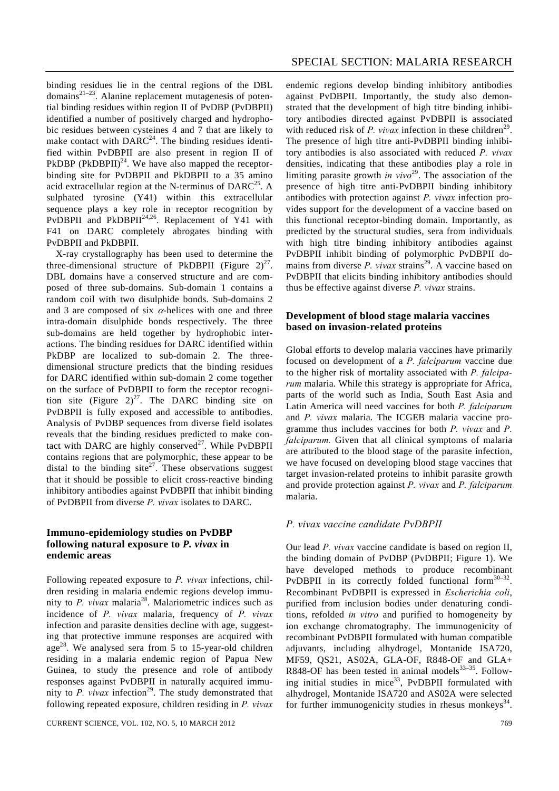binding residues lie in the central regions of the DBL domains $2^{1-23}$ . Alanine replacement mutagenesis of potential binding residues within region II of PvDBP (PvDBPII) identified a number of positively charged and hydrophobic residues between cysteines 4 and 7 that are likely to make contact with  $DARC^{24}$ . The binding residues identified within PvDBPII are also present in region II of PkDBP (PkDBPII) $^{24}$ . We have also mapped the receptorbinding site for PvDBPII and PkDBPII to a 35 amino acid extracellular region at the N-terminus of  $DARC^{25}$ . A sulphated tyrosine (Y41) within this extracellular sequence plays a key role in receptor recognition by PvDBPII and PkDBPII<sup>24,26</sup>. Replacement of Y41 with F41 on DARC completely abrogates binding with PvDBPII and PkDBPII.

 X-ray crystallography has been used to determine the three-dimensional structure of PkDBPII (Figure  $2)^{27}$ . DBL domains have a conserved structure and are composed of three sub-domains. Sub-domain 1 contains a random coil with two disulphide bonds. Sub-domains 2 and 3 are composed of six  $\alpha$ -helices with one and three intra-domain disulphide bonds respectively. The three sub-domains are held together by hydrophobic interactions. The binding residues for DARC identified within PkDBP are localized to sub-domain 2. The threedimensional structure predicts that the binding residues for DARC identified within sub-domain 2 come together on the surface of PvDBPII to form the receptor recognition site (Figure  $2)^{27}$ . The DARC binding site on PvDBPII is fully exposed and accessible to antibodies. Analysis of PvDBP sequences from diverse field isolates reveals that the binding residues predicted to make contact with DARC are highly conserved $27$ . While PvDBPII contains regions that are polymorphic, these appear to be distal to the binding site<sup>27</sup>. These observations suggest that it should be possible to elicit cross-reactive binding inhibitory antibodies against PvDBPII that inhibit binding of PvDBPII from diverse *P. vivax* isolates to DARC.

#### **Immuno-epidemiology studies on PvDBP following natural exposure to** *P. vivax* **in endemic areas**

Following repeated exposure to *P. vivax* infections, children residing in malaria endemic regions develop immunity to *P. vivax* malaria<sup>28</sup>. Malariometric indices such as incidence of *P. vivax* malaria, frequency of *P. vivax*  infection and parasite densities decline with age, suggesting that protective immune responses are acquired with age<sup>28</sup>. We analysed sera from 5 to 15-year-old children residing in a malaria endemic region of Papua New Guinea, to study the presence and role of antibody responses against PvDBPII in naturally acquired immunity to  $P$ . *vivax* infection<sup>29</sup>. The study demonstrated that following repeated exposure, children residing in *P. vivax* endemic regions develop binding inhibitory antibodies against PvDBPII. Importantly, the study also demonstrated that the development of high titre binding inhibitory antibodies directed against PvDBPII is associated with reduced risk of *P. vivax* infection in these children<sup>29</sup>. The presence of high titre anti-PvDBPII binding inhibitory antibodies is also associated with reduced *P. vivax* densities, indicating that these antibodies play a role in limiting parasite growth *in vivo*<sup>29</sup>. The association of the presence of high titre anti-PvDBPII binding inhibitory antibodies with protection against *P. vivax* infection provides support for the development of a vaccine based on this functional receptor-binding domain. Importantly, as predicted by the structural studies, sera from individuals with high titre binding inhibitory antibodies against PvDBPII inhibit binding of polymorphic PvDBPII domains from diverse  $P$ . *vivax* strains<sup>29</sup>. A vaccine based on PvDBPII that elicits binding inhibitory antibodies should thus be effective against diverse *P. vivax* strains.

#### **Development of blood stage malaria vaccines based on invasion-related proteins**

Global efforts to develop malaria vaccines have primarily focused on development of a *P. falciparum* vaccine due to the higher risk of mortality associated with *P. falciparum* malaria. While this strategy is appropriate for Africa, parts of the world such as India, South East Asia and Latin America will need vaccines for both *P. falciparum*  and *P. vivax* malaria. The ICGEB malaria vaccine programme thus includes vaccines for both *P. vivax* and *P. falciparum.* Given that all clinical symptoms of malaria are attributed to the blood stage of the parasite infection, we have focused on developing blood stage vaccines that target invasion-related proteins to inhibit parasite growth and provide protection against *P. vivax* and *P. falciparum*  malaria.

#### *P. vivax vaccine candidate PvDBPII*

Our lead *P. vivax* vaccine candidate is based on region II, the binding domain of PvDBP (PvDBPII; Figure 1). We have developed methods to produce recombinant PvDBPII in its correctly folded functional form<sup>30–32</sup>. Recombinant PvDBPII is expressed in *Escherichia coli*, purified from inclusion bodies under denaturing conditions, refolded *in vitro* and purified to homogeneity by ion exchange chromatography. The immunogenicity of recombinant PvDBPII formulated with human compatible adjuvants, including alhydrogel, Montanide ISA720, MF59, QS21, AS02A, GLA-OF, R848-OF and GLA+ R848-OF has been tested in animal models $33-35$ . Following initial studies in mice<sup>33</sup>, PvDBPII formulated with alhydrogel, Montanide ISA720 and AS02A were selected for further immunogenicity studies in rhesus monkeys<sup>34</sup>.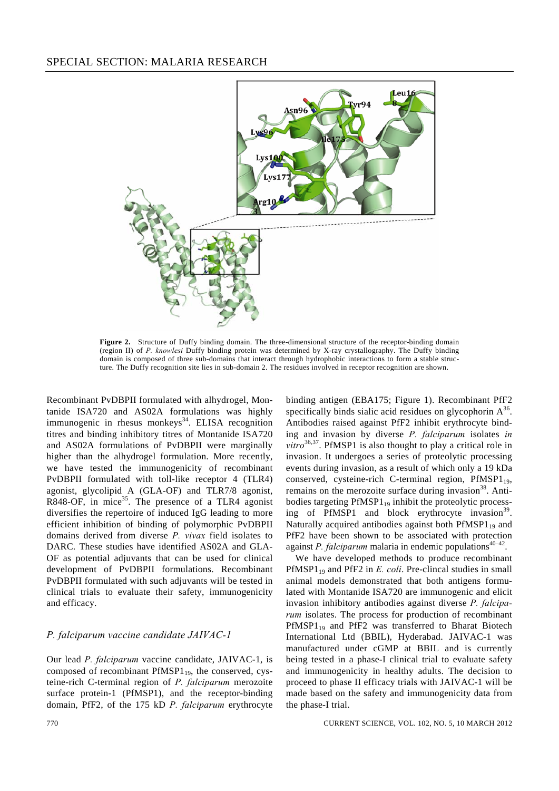

**Figure 2.** Structure of Duffy binding domain. The three-dimensional structure of the receptor-binding domain (region II) of *P. knowlesi* Duffy binding protein was determined by X-ray crystallography. The Duffy binding domain is composed of three sub-domains that interact through hydrophobic interactions to form a stable structure. The Duffy recognition site lies in sub-domain 2. The residues involved in receptor recognition are shown.

Recombinant PvDBPII formulated with alhydrogel, Montanide ISA720 and AS02A formulations was highly immunogenic in rhesus monkeys<sup>34</sup>. ELISA recognition titres and binding inhibitory titres of Montanide ISA720 and AS02A formulations of PvDBPII were marginally higher than the alhydrogel formulation. More recently, we have tested the immunogenicity of recombinant PvDBPII formulated with toll-like receptor 4 (TLR4) agonist, glycolipid A (GLA-OF) and TLR7/8 agonist, R848-OF, in mice<sup>35</sup>. The presence of a TLR4 agonist diversifies the repertoire of induced IgG leading to more efficient inhibition of binding of polymorphic PvDBPII domains derived from diverse *P. vivax* field isolates to DARC. These studies have identified AS02A and GLA-OF as potential adjuvants that can be used for clinical development of PvDBPII formulations. Recombinant PvDBPII formulated with such adjuvants will be tested in clinical trials to evaluate their safety, immunogenicity and efficacy.

#### *P. falciparum vaccine candidate JAIVAC-1*

Our lead *P. falciparum* vaccine candidate, JAIVAC-1, is composed of recombinant  $PfMSP1_{19}$ , the conserved, cysteine-rich C-terminal region of *P. falciparum* merozoite surface protein-1 (PfMSP1), and the receptor-binding domain, PfF2, of the 175 kD *P. falciparum* erythrocyte

binding antigen (EBA175; Figure 1). Recombinant PfF2 specifically binds sialic acid residues on glycophorin  $A^{36}$ . Antibodies raised against PfF2 inhibit erythrocyte binding and invasion by diverse *P. falciparum* isolates *in vitro*36,37. PfMSP1 is also thought to play a critical role in invasion. It undergoes a series of proteolytic processing events during invasion, as a result of which only a 19 kDa conserved, cysteine-rich C-terminal region,  $PHMSP1_{19}$ , remains on the merozoite surface during invasion<sup>38</sup>. Antibodies targeting  $PHASP1_{19}$  inhibit the proteolytic processing of PfMSP1 and block erythrocyte invasion $^{39}$ . Naturally acquired antibodies against both  $PHMSP1_{19}$  and PfF2 have been shown to be associated with protection against *P. falciparum* malaria in endemic populations<sup>40-42</sup>.

 We have developed methods to produce recombinant PfMSP1<sub>19</sub> and PfF2 in *E. coli*. Pre-clincal studies in small animal models demonstrated that both antigens formulated with Montanide ISA720 are immunogenic and elicit invasion inhibitory antibodies against diverse *P. falciparum* isolates. The process for production of recombinant  $PfMSP1_{19}$  and  $PfF2$  was transferred to Bharat Biotech International Ltd (BBIL), Hyderabad. JAIVAC-1 was manufactured under cGMP at BBIL and is currently being tested in a phase-I clinical trial to evaluate safety and immunogenicity in healthy adults. The decision to proceed to phase II efficacy trials with JAIVAC-1 will be made based on the safety and immunogenicity data from the phase-I trial.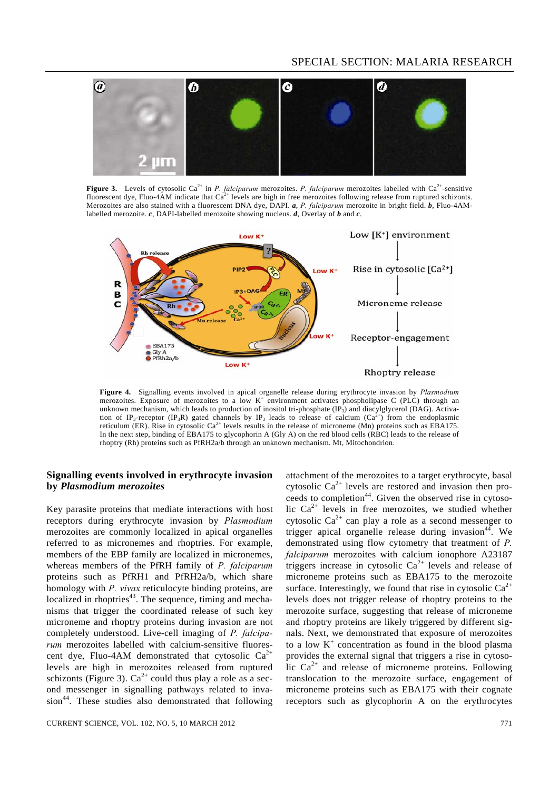# SPECIAL SECTION: MALARIA RESEARCH



**Figure 3.** Levels of cytosolic Ca<sup>2+</sup> in *P. falciparum* merozoites. *P. falciparum* merozoites labelled with Ca<sup>2+</sup>-sensitive fluorescent dye, Fluo-4AM indicate that  $Ca^{2+}$  levels are high in free merozoites following release from ruptured schizonts. Merozoites are also stained with a fluorescent DNA dye, DAPI. *a*, *P. falciparum* merozoite in bright field. *b*, Fluo-4AMlabelled merozoite. *c*, DAPI-labelled merozoite showing nucleus. *d*, Overlay of *b* and *c*.



**Figure 4.** Signalling events involved in apical organelle release during erythrocyte invasion by *Plasmodium* merozoites. Exposure of merozoites to a low K<sup>+</sup> environment activates phospholipase C (PLC) through an unknown mechanism, which leads to production of inositol tri-phosphate (IP3) and diacylglycerol (DAG). Activation of IP<sub>3</sub>-receptor (IP<sub>3</sub>R) gated channels by IP<sub>3</sub> leads to release of calcium ( $Ca<sup>2+</sup>$ ) from the endoplasmic reticulum (ER). Rise in cytosolic  $Ca<sup>2+</sup>$  levels results in the release of microneme (Mn) proteins such as EBA175. In the next step, binding of EBA175 to glycophorin A (Gly A) on the red blood cells (RBC) leads to the release of rhoptry (Rh) proteins such as PfRH2a/b through an unknown mechanism. Mt, Mitochondrion.

#### **Signalling events involved in erythrocyte invasion by** *Plasmodium merozoites*

Key parasite proteins that mediate interactions with host receptors during erythrocyte invasion by *Plasmodium* merozoites are commonly localized in apical organelles referred to as micronemes and rhoptries. For example, members of the EBP family are localized in micronemes, whereas members of the PfRH family of *P. falciparum*  proteins such as PfRH1 and PfRH2a/b, which share homology with *P. vivax* reticulocyte binding proteins, are localized in rhoptries<sup>43</sup>. The sequence, timing and mechanisms that trigger the coordinated release of such key microneme and rhoptry proteins during invasion are not completely understood. Live-cell imaging of *P. falciparum* merozoites labelled with calcium-sensitive fluorescent dye, Fluo-4AM demonstrated that cytosolic  $Ca^{2+}$ levels are high in merozoites released from ruptured schizonts (Figure 3).  $Ca^{2+}$  could thus play a role as a second messenger in signalling pathways related to inva $sion<sup>44</sup>$ . These studies also demonstrated that following attachment of the merozoites to a target erythrocyte, basal cytosolic  $Ca^{2+}$  levels are restored and invasion then proceeds to completion<sup>44</sup>. Given the observed rise in cytosolic  $Ca^{2+}$  levels in free merozoites, we studied whether cytosolic  $Ca^{2+}$  can play a role as a second messenger to trigger apical organelle release during invasion<sup>44</sup>. We demonstrated using flow cytometry that treatment of *P. falciparum* merozoites with calcium ionophore A23187 triggers increase in cytosolic  $Ca^{2+}$  levels and release of microneme proteins such as EBA175 to the merozoite surface. Interestingly, we found that rise in cytosolic  $Ca^{2+}$ levels does not trigger release of rhoptry proteins to the merozoite surface, suggesting that release of microneme and rhoptry proteins are likely triggered by different signals. Next, we demonstrated that exposure of merozoites to a low  $K^+$  concentration as found in the blood plasma provides the external signal that triggers a rise in cytosolic  $Ca^{2+}$  and release of microneme proteins. Following translocation to the merozoite surface, engagement of microneme proteins such as EBA175 with their cognate receptors such as glycophorin A on the erythrocytes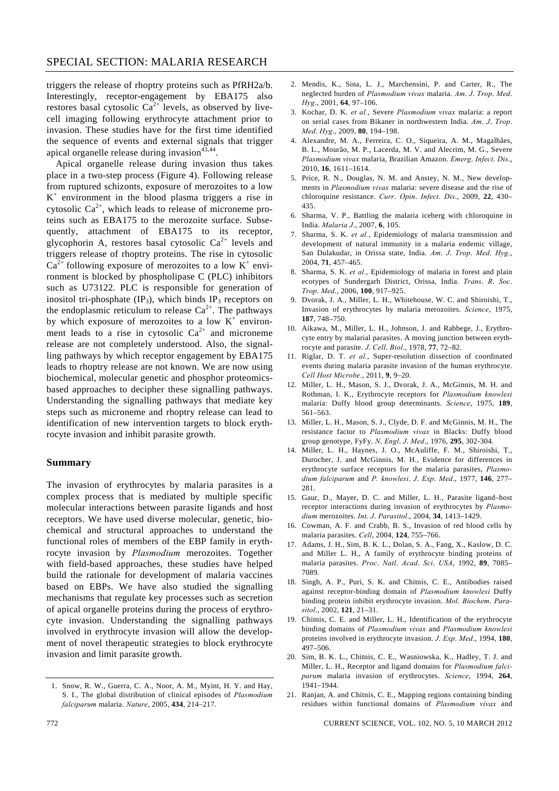# SPECIAL SECTION: MALARIA RESEARCH

triggers the release of rhoptry proteins such as PfRH2a/b. Interestingly, receptor-engagement by EBA175 also restores basal cytosolic  $Ca^{2+}$  levels, as observed by livecell imaging following erythrocyte attachment prior to invasion. These studies have for the first time identified the sequence of events and external signals that trigger apical organelle release during invasion $43,44$ .

 Apical organelle release during invasion thus takes place in a two-step process (Figure 4). Following release from ruptured schizonts, exposure of merozoites to a low  $K^+$  environment in the blood plasma triggers a rise in cytosolic  $Ca^{2+}$ , which leads to release of microneme proteins such as EBA175 to the merozoite surface. Subsequently, attachment of EBA175 to its receptor, glycophorin A, restores basal cytosolic  $Ca^{2+}$  levels and triggers release of rhoptry proteins. The rise in cytosolic  $Ca^{2+}$  following exposure of merozoites to a low  $K^+$  environment is blocked by phospholipase C (PLC) inhibitors such as U73122. PLC is responsible for generation of inositol tri-phosphate  $(\text{IP}_3)$ , which binds  $\text{IP}_3$  receptors on the endoplasmic reticulum to release  $Ca^{2+}$ . The pathways by which exposure of merozoites to a low  $K^+$  environment leads to a rise in cytosolic  $Ca^{2+}$  and microneme release are not completely understood. Also, the signalling pathways by which receptor engagement by EBA175 leads to rhoptry release are not known. We are now using biochemical, molecular genetic and phosphor proteomicsbased approaches to decipher these signalling pathways. Understanding the signalling pathways that mediate key steps such as microneme and rhoptry release can lead to identification of new intervention targets to block erythrocyte invasion and inhibit parasite growth.

#### **Summary**

The invasion of erythrocytes by malaria parasites is a complex process that is mediated by multiple specific molecular interactions between parasite ligands and host receptors. We have used diverse molecular, genetic, biochemical and structural approaches to understand the functional roles of members of the EBP family in erythrocyte invasion by *Plasmodium* merozoites. Together with field-based approaches, these studies have helped build the rationale for development of malaria vaccines based on EBPs. We have also studied the signalling mechanisms that regulate key processes such as secretion of apical organelle proteins during the process of erythrocyte invasion. Understanding the signalling pathways involved in erythrocyte invasion will allow the development of novel therapeutic strategies to block erythrocyte invasion and limit parasite growth.

- 2. Mendis, K., Sina, L. J., Marchensini, P. and Carter, R., The neglected burden of *Plasmodium vivax* malaria. *Am*. *J*. *Trop*. *Med*. *Hyg*., 2001, **64**, 97–106.
- 3. Kochar, D. K. *et al.*, Severe *Plasmodium vivax* malaria: a report on serial cases from Bikaner in northwestern India. *Am*. *J*. *Trop*. *Med*. *Hyg*., 2009, **80**, 194–198.
- 4. Alexandre, M. A., Ferreira, C. O., Siqueira, A. M., Magalhães, B. L., Mourão, M. P., Lacerda, M. V. and Alecrim, M. G., Severe *Plasmodium vivax* malaria, Brazilian Amazon. *Emerg*. *Infect*. *Dis*., 2010, **16**, 1611–1614.
- 5. Price, R. N., Douglas, N. M. and Anstey, N. M., New developments in *Plasmodium vivax* malaria: severe disease and the rise of chloroquine resistance. *Curr*. *Opin*. *Infect*. *Dis*., 2009, **22**, 430– 435.
- 6. Sharma, V. P., Battling the malaria iceberg with chloroquine in India. *Malaria J*., 2007, **6**, 105.
- 7. Sharma, S. K. *et al.*, Epidemiology of malaria transmission and development of natural immunity in a malaria endemic village, San Dulakudar, in Orissa state, India. *Am*. *J*. *Trop*. *Med*. *Hyg*., 2004, **71**, 457–465.
- 8. Sharma, S. K. *et al.*, Epidemiology of malaria in forest and plain ecotypes of Sundergarh District, Orissa, India. *Trans*. *R*. *Soc*. *Trop*. *Med*., 2006, **100**, 917–925.
- 9. Dvorak, J. A., Miller, L. H., Whitehouse, W. C. and Shiroishi, T., Invasion of erythrocytes by malaria merozoites. *Science*, 1975, **187**, 748–750.
- 10. Aikawa, M., Miller, L. H., Johnson, J. and Rabbege, J., Erythrocyte entry by malarial parasites. A moving junction between erythrocyte and parasite. *J*. *Cell*. *Biol*., 1978, **77**, 72–82.
- 11. Riglar, D. T. *et al.*, Super-resolution dissection of coordinated events during malaria parasite invasion of the human erythrocyte. *Cell Host Microbe.*, 2011, **9**, 9–20.
- 12. Miller, L. H., Mason, S. J., Dvorak, J. A., McGinnis, M. H. and Rothman, I. K., Erythrocyte receptors for *Plasmodium knowlesi* malaria: Duffy blood group determinants. *Science*, 1975, **189**, 561–563.
- 13. Miller, L. H., Mason, S. J., Clyde, D. F. and McGinnis, M. H., The resistance factor to *Plasmodium vivax* in Blacks: Duffy blood group genotype, FyFy. *N*. *Engl*. *J*. *Med*., 1976, **295**, 302-304.
- 14. Miller, L. H., Haynes, J. O., McAuliffe, F. M., Shiroishi, T., Durocher, J. and McGinnis, M. H., Evidence for differences in erythrocyte surface receptors for the malaria parasites, *Plasmodium falciparum* and *P. knowlesi*. *J*. *Exp*. *Med*., 1977, **146**, 277– 281.
- 15. Gaur, D., Mayer, D. C. and Miller, L. H., Parasite ligand–host receptor interactions during invasion of erythrocytes by *Plasmodium* merozoites. *Int*. *J*. *Parasitol*., 2004, **34**, 1413–1429.
- 16. Cowman, A. F. and Crabb, B. S., Invasion of red blood cells by malaria parasites. *Cell*, 2004, **124**, 755–766.
- 17. Adams, J. H., Sim, B. K. L., Dolan, S. A., Fang, X., Kaslow, D. C. and Miller L. H., A family of erythrocyte binding proteins of malaria parasites. *Proc*. *Natl*. *Acad*. *Sci*. *USA*, 1992, **89**, 7085– 7089.
- 18. Singh, A. P., Puri, S. K. and Chitnis, C. E., Antibodies raised against receptor-binding domain of *Plasmodium knowlesi* Duffy binding protein inhibit erythrocyte invasion. *Mol*. *Biochem*. *Parasitol*., 2002, **121**, 21–31.
- 19. Chitnis, C. E. and Miller, L. H., Identification of the erythrocyte binding domains of *Plasmodium vivax* and *Plasmodium knowlesi* proteins involved in erythrocyte invasion. *J*. *Exp*. *Med*., 1994, **180**, 497–506.
- 20. Sim, B. K. L., Chitnis, C. E., Wasniowska, K., Hadley, T. J. and Miller, L. H., Receptor and ligand domains for *Plasmodium falciparum* malaria invasion of erythrocytes. *Science*, 1994, **264**, 1941–1944.
- 21. Ranjan, A. and Chitnis, C. E., Mapping regions containing binding residues within functional domains of *Plasmodium vivax* and

<sup>1.</sup> Snow, R. W., Guerra, C. A., Noor, A. M., Myint, H. Y. and Hay, S. I., The global distribution of clinical episodes of *Plasmodium falciparum* malaria. *Nature*, 2005, **434**, 214–217.